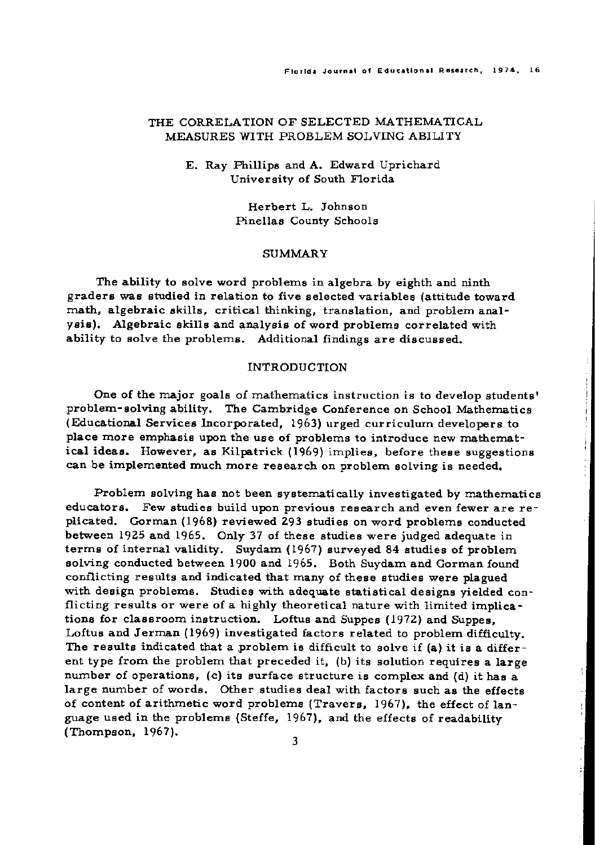## THE CORRELATION OF SELECTED MATHEMATICAL MEASURES WITH PROBLEM SOLVING ABILITY

## E. Ray Phillips and A. Edward Uprichard University of South Florida

Herbert L. Johnson Pinellas County Schools

### SUMMARY

The ability to solve word problems in algebra by eighth and ninth graders was studied in relation to five selected variables (attitude toward math, algebraic skills, critical thinking, translation, and problem analysis). Algebraic skills and analysis of word problems correlated with ability to solve the problems. Additional findings are discussed.

### INTRODUCTION

One of the major goals of mathematics instruction is to develop students' problem-solving ability. The Cambridge Conference on School Mathematics (Educational Services Incorporated, 1963) urged curriculum developers to place more emphasis upon the use of problems to introduce new mathematical ideas. However, as Kilpatrick (1969) implies, before these suggestions can be implemented much more research on problem solving is needed.

Problem solving has not been systematically investigated by mathematics educators. Few studies build upon previous research and even fewer are replicated. Gorman (1968) reviewed 293 studies on word problems conducted between 1925 and 1965. Only 37 of these studies were judged adequate in terms of internal validity. Suydam (1967) surveyed 84 studies of problem solving conducted between 1900 and 1965. Both Suydam and Gorman found conflicting results and indicated that many of these studies were plagued with design problems. Studies with adequate statistical designs yielded conflicting results or were of a highly theoretical nature with limited implications for classroom instruction. Loftus and Suppes (1972) and Suppes, Loftus and Jerman (1969) investigated factors related to problem difficulty. The results indicated that a problem is difficult to solve if (a) it is a different type from the problem that preceded it, (b) its solution requires a large number of operations, (c) its surface structure is complex and (d) it has a large number of words. Other studies deal with factors such as the effects of content of arithmetic word problems (Travers, 1967), the effect of language used in the problems (Steffe, 1967), and the effects of readability (Thompson, 1967).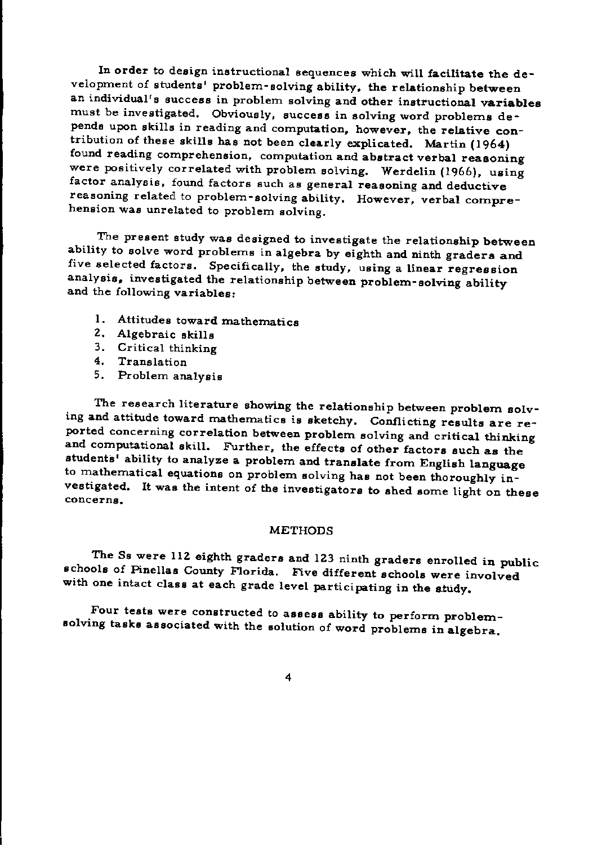In order to design instructional sequences which will facilitate the development of students' problem-solving ability, the relationship between an individual's success in problem solving and other instructional variables must be investigated. Obviously, success in solving word problems depends upon skills in reading and computation, however, the relative contribution of these skills has not been clearly explicated. Martin (1964) found reading comprehension, computation and abstract verbal reasoning were positively correlated with problem solving. Werdelin (1966), using factor analysis, found factors such as general reasoning and deductive reasoning related to problem-solving ability. However, verbal comprehension was unrelated to problem solving.

The present study was designed to investigate the relationship between ability to solve word problems in algebra by eighth and ninth graders and five selected factors. Specifically, the study, using a linear regression analysis, investigated the relationship between problem-solving ability and the following variables:

- 1. Attitudes toward mathematics
- 2. Algebraic skills
- 3. Critical thinking
- 4. Translation
- 5. Problem analysis

The research literature showing the relationship between problem solving and attitude toward mathematics is sketchy. Conflicting results are reported concerning correlation between problem solving and critical thinking and computational skill. Further, the effects of other factors such as the students' ability to analyze a problem and translate from English language to mathematical equations on problem solving has not been thoroughly investigated. It was the intent of the investigators to shed some light on these concerns.

### **METHODS**

The Ss were 112 eighth graders and 123 ninth graders enrolled in public schools of Pinellas County Florida. Five different schools were involved with one intact class at each grade level participating in the study.

Four tests were constructed to assess ability to perform problemsolving tasks associated with the solution of word problems in algebra.

4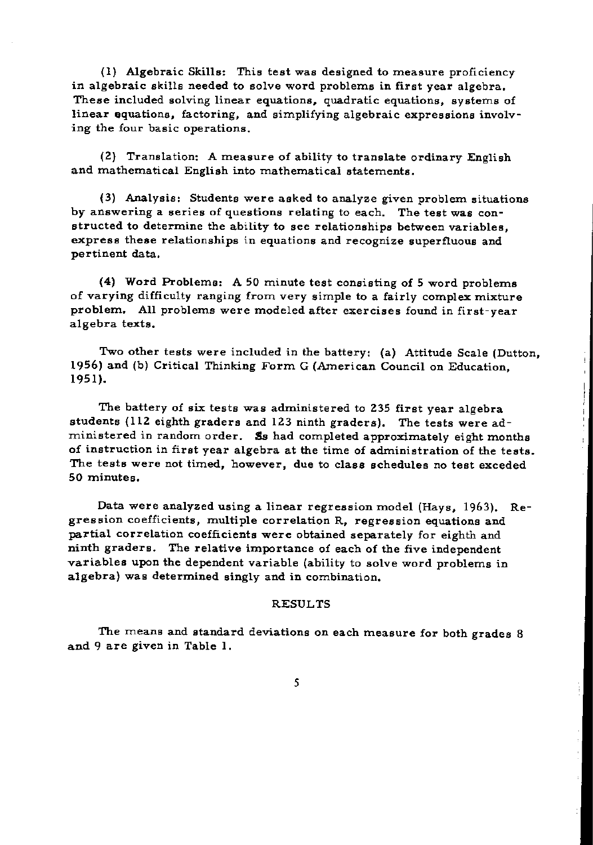(1) Algebraic Skills: This test was designed to measure proficiency in algebraic skills needed to solve word problems in first year algebra. These included solving linear equations, quadratic equations, systems of linear equations, factoring, and simplifying algebraic expressions involving the four basic operations.

(2) Translation: A measure of ability to translate ordinary English and mathematical English into mathematical statements.

(3) Analysis: Students were asked to analyze given problem situations by answering a series of questions relating to each. The test was constructed to determine the ability to see relationships between variables, express these relationships in equations and recognize superfluous and pertinent data.

(4) Word Problems: A 50 minute test consisting of 5 word problems of varying difficulty ranging from very simple to a fairly complex mixture problem. All problems were modeled after exercises found in first-year algebra texts.

Two other tests were included in the battery: (a) Attitude Scale (Dutton, 1956) and (b) Critical Thinking Form G (American Council on Education, 1951).

The battery of six tests was administered to 235 first year algebra students (H2 eighth graders and 123 ninth graders). The tests were administered in random order. So had completed approximately eight months of instruction in first year algebra at the time of administration of the tests. The tests were not timed, however, due to class schedules no test exceded 50 minutes.

Data were analyzed using a linear regression model (Hays, 1963). Regression coefficients, multiple correlation R, regression equations and partial correlation coefficients were obtained separately for eighth and ninth graders. The relative importance of each of the five independent variables upon the dependent variable (ability to solve word problems in algebra) was determined singly and in combination.

## RESULTS

The means and standard deviations on each measure for both grades 8 and 9 are given in Table 1.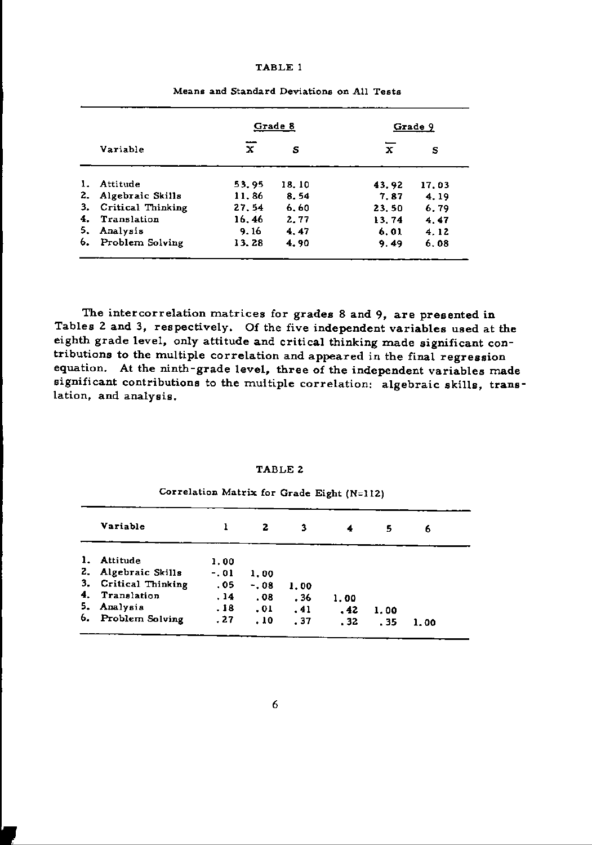#### TABLE I

|    |                   |          | Grade 8 | Grade 9 |       |  |
|----|-------------------|----------|---------|---------|-------|--|
|    | Variable          | ---<br>x | s       | x       | s     |  |
| 1. | Attitude          | 53.95    | 18.10   | 43.92   | 17.03 |  |
| 2. | Algebraic Skills  | 11.86    | 8.54    | 7.87    | 4.19  |  |
| 3. | Critical Thinking | 27.54    | 6.60    | 23.50   | 6.79  |  |
| 4. | Translation       | 16.46    | 2.77    | 13.74   | 4.47  |  |
| 5. | Analysis          | 9.16     | 4.47    | 6.01    | 4.12  |  |
| 6. | Problem Solving   | 13.28    | 4.90    | 9.49    | 6.08  |  |

Means and Standard Deviations on All Tests

The intercorrelation matrices for grades 8 and 9, are presented in Tables Z and 3, respectively. Of the five independent variables used at the eighth grade level, only attitude and critical thinking made significant contributions to the multiple correlation and appeared in the final regression equation. At the ninth-grade level, three of the independent variables made significant contributions to the multiple correlation: algebraic skills, translation, and analysis.

### TABLE 2

| Variable                |        | 2       | 3    |      | 5    | 6    |
|-------------------------|--------|---------|------|------|------|------|
| Attitude<br>1.          | 1.00   |         |      |      |      |      |
| 2. Algebraic Skills     | $-.01$ | 1.00    |      |      |      |      |
| 3.<br>Critical Thinking | .05    | $-0.08$ | 1.00 |      |      |      |
| 4.<br>Translation       | . 14   | .08.    | . 36 | 1.00 |      |      |
| 5.<br>Analysis          | .18    | .01     | .41  | .42  | 1.00 |      |
| 6.<br>Problem Solving   | .27    | . 10    | .37  | .32  | . 35 | 1.00 |

# Correlation Matrix for Grade Eight  $(N=112)$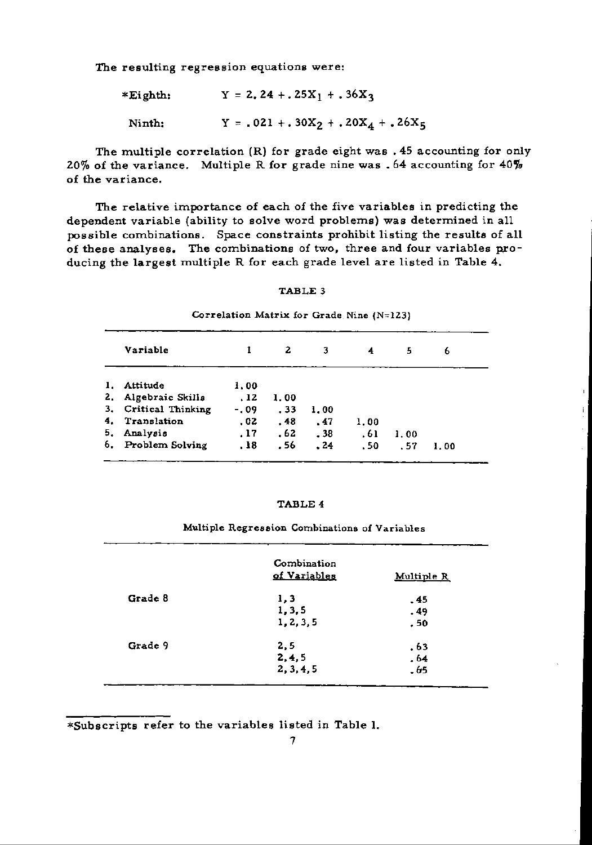The resulting regression equations were:

| *Eighth: | $Y = 2.24 + .25X_1 + .36X_2$       |
|----------|------------------------------------|
| Ninth:   | $Y = .021 + .30X2 + .20X4 + .26X5$ |

The multiple correlation (R) for grade eight was. 45 accounting for only 20% of the variance. Multiple R for grade nine was . 64 accounting for  $40\%$ of the variance.

The relative importance of each of the five variables in predicting the dependent variable (ability to solve word problems) was determined in all possible combinations. Space constraints prohibit listing the results of all of these analyses. The combinations of two, three and four variables producing the largest multiple R for each grade level are listed in Table 4.

### TABLE 3

Correlation Matrix for Grade Nine  $(N=123)$ 

|    | Variable             |        | 2    | 3    | 4    | 5    | 6    |
|----|----------------------|--------|------|------|------|------|------|
| 1. | Attitude             | 1.00   |      |      |      |      |      |
|    | 2. Algebraic Skills  | .12    | 1.00 |      |      |      |      |
|    | 3. Critical Thinking | $-.09$ | . 33 | 1.00 |      |      |      |
| 4. | Translation          | .02    | .48  | .47  | 1.00 |      |      |
| 5. | Analysis             | .17    | .62  | .38  | .61  | 1.00 |      |
| 6. | Problem Solving      | .18    | . 56 | .24  | .50  | - 57 | 1.00 |

### TABLE 4

Multiple Regression Combinations of Variables

|         | Combination<br>of Variables | Multiple R |
|---------|-----------------------------|------------|
| Grade 8 | 1, 3                        | . 45       |
|         | 1, 3, 5                     | . 49       |
|         | 1, 2, 3, 5                  | . 50       |
| Grade 9 | 2,5                         | .63        |
|         | 2, 4, 5                     | . 64       |
|         | 2, 3, 4, 5                  | . 65       |

\*Subscripts refer to the variables listed in Table 1.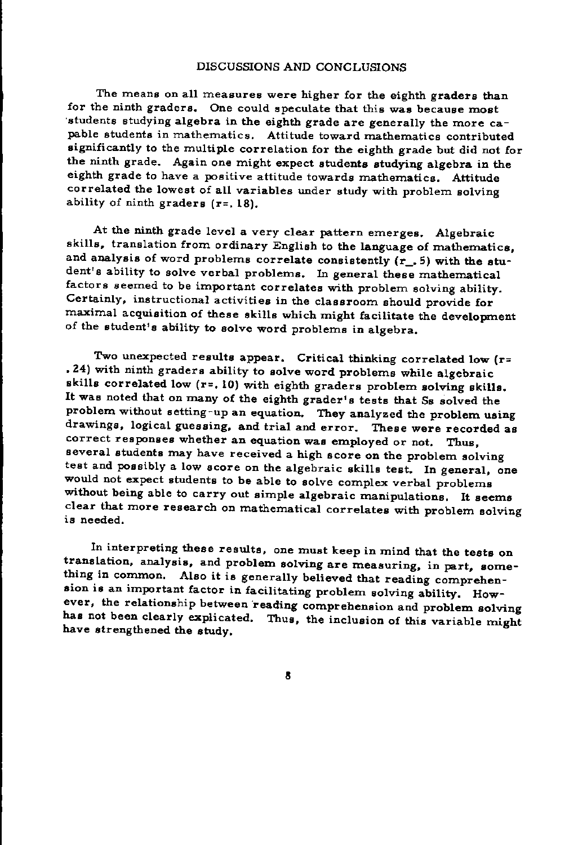## DISCUSSIONS AND CONCLUSIONS

The means on all measures were higher for the eighth graders than for the ninth graders. One could speculate that this was because most 'students studying algebra in the eighth grade are generally the more capable students in mathematics. Attitude toward mathematics contributed significantly to the multiple correlation for the eighth grade but did not for the ninth grade. Again one might expect students studying algebra in the eighth grade to have a positive attitude towards mathematics. Attitude correlated the lowest of all variables under study with problem solving ability of ninth graders  $(r=.18)$ .

At the ninth grade level a very clear pattern emerges. Algebraic skills, translation from ordinary English to the language of mathematics, and analysis of word problems correlate consistently (r\_. 5) with the student's ability to solve verbal problems. In general these mathematical factors seemed to be important correlates with problem solving ability. Certainly, instructional activities in the classroom should provide for maximal acquisition of these skills which might facilitate the development of the student's ability to solve word problems in algebra.

Two unexpected results appear. Critical thinking correlated low (r= .24) with ninth graders ability to solve word problems while algebraic skills correlated low (r=. 10) with eighth graders problem solving skills. It was noted that on many of the eighth grader's tests that Ss solved the problem without setting-up an equation. They analyzed the problem using drawings, logical guessing, and trial and error. These were recorded as correct responses whether an equation was employed or not. Thus, several students may have received a high score on the problem solving test and possibly a low score on the algebraic skills test. In general, one would not expect students to be able to solve complex verbal problems without being able to carry out simple algebraic manipulations. It seems clear that more research on mathematical correlates with problem solving is needed.

In interpreting these results, one must keep in mind that the tests on translation, analysis, and problem solving are measuring, in part, something in common. Also it is generally believed that reading comprehension is an important factor in facilitating problem solving ability. However, the relationship between reading comprehension and problem solving has not been clearly explicated. Thus, the inclusion of this variable might have strengthened the study.

8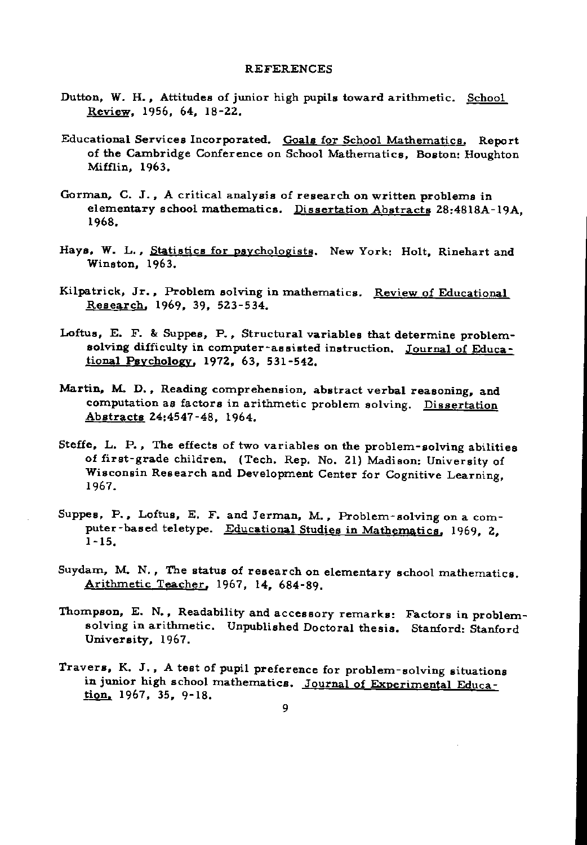### REFERENCES

- Dutton, W. H., Attitudes of junior high pupils toward arithmetic. School Review. 1956, 64, 18-22.
- Educational Services Incorporated. Goals for School Mathematics. Report of the Cambridge Conference on School Mathematics, Boston: Houghton Mifffin, 1963.
- Gorman. C. J.• A critical analysis of research on written problems in elementary school mathematics. Dissertation Abstracts 28:4818A-19A. 1968.
- Hays. W. L., Statistics for psychologists. New York: Holt, Rinehart and Winston, 1963.
- Kilpatrick, Jr., Problem solving in mathematics. Review of Educational Research, 1969, 39, 523-534.
- Loftus, E. F. & Suppes, P.• Structural variables that determine problemsolving difficulty in computer-assisted instruction. Journal of Educational Psychology. 1972, 63, 531-542.
- Martin, M. D., Reading comprehension, abstract verbal reasoning, and computation as factors in arithmetic problem solving. Dissertation Abstracts 24:4547-48, 1964.
- Steffe, L. P., The effects of two variables on the problem-solving abilities of first-grade children. (Tech. Rep. No. 21) Madison: University of Wisconsin Research and Development Center for Cognitive Learning, 1967.
- Suppes, P., Loftus, E. F. and Jerman, M., Problem-solving on a computer-based teletype. Educational Studies in Mathematics. 1969. 2. 1-15.
- Suydam, M. N., The status of research on elementary school mathematics. Arithmetic Teacher, 1967, 14, 684-89.
- Thompson, E. N., Readability and accessory remarks: Factors in problemsolving in arithmetic. Unpublished Doctoral thesis. Stanford: Stanford University. 1967.
- Travers, K. J., A test of pupil preference for problem-solving situations in junior high school mathematics. Journal of Experimental Education. 1967. 35. 9-18.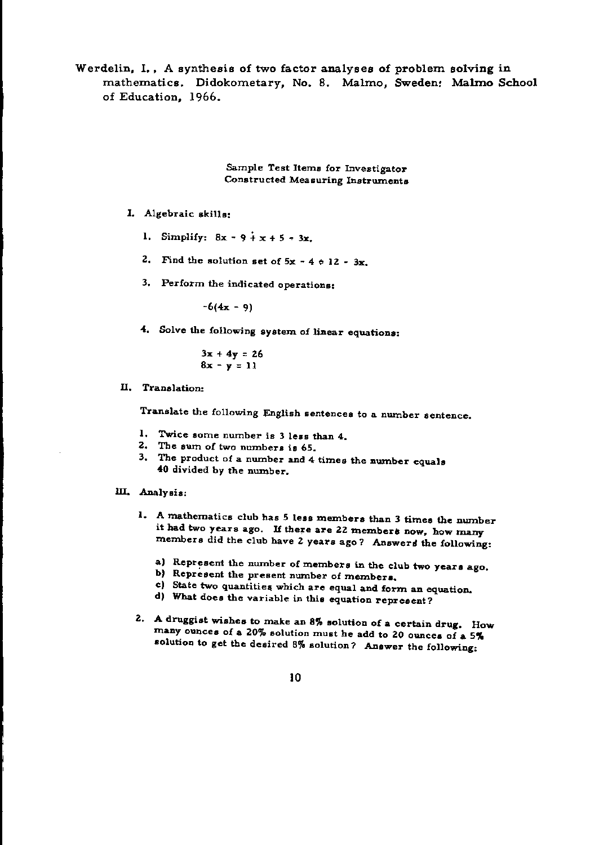Werdelin, 1., A synthesis of two factor analyses of problem solving in mathematics. Didokometary, No.8. Malmo, Sweden: Malmo School of Education, 1966.

> Sample Test Items for Investigator Constructed Measuring Instruments

## I. Algebraic skills:

- 1. Simplify:  $8x 9 + x + 5 3x$ .
- 2. Find the solution set of  $5x 4 \ne 12 3x$ .
- 3. Perform the indicated operations:

 $-6(4x - 9)$ 

4. Solve the following system of linear equations:

$$
3x + 4y = 26
$$
  

$$
8x - y = 11
$$

II. Translation:

Translate the following English sentences to a number sentence.

- 1. Twice some number is 3 less than 4.
- 2. The surn of two numbers is 65.
- 3. The product of a number and  $4$  times the number equals 40 divided by the number.

### m. Analysi6:

- 1. A mathematics club has 5 less members than 3 times the number it had two years ago. If there are 22 members now, how many members did the club have 2 years ago? Answers the following:
	- a) Represent the number of members in the club two years ago.
	- b) Represent the present number of members,
	- c) State two quantities which are equal and form an equation.
	- d) What does the variable in this equation represent?
- Z. A druggist wishes to make an 8% solution of a certain drug. How many ounces of a 20% solution must he add to 20 ounces of a 5% solution to get the desired 8% solution? Answer the following:

10